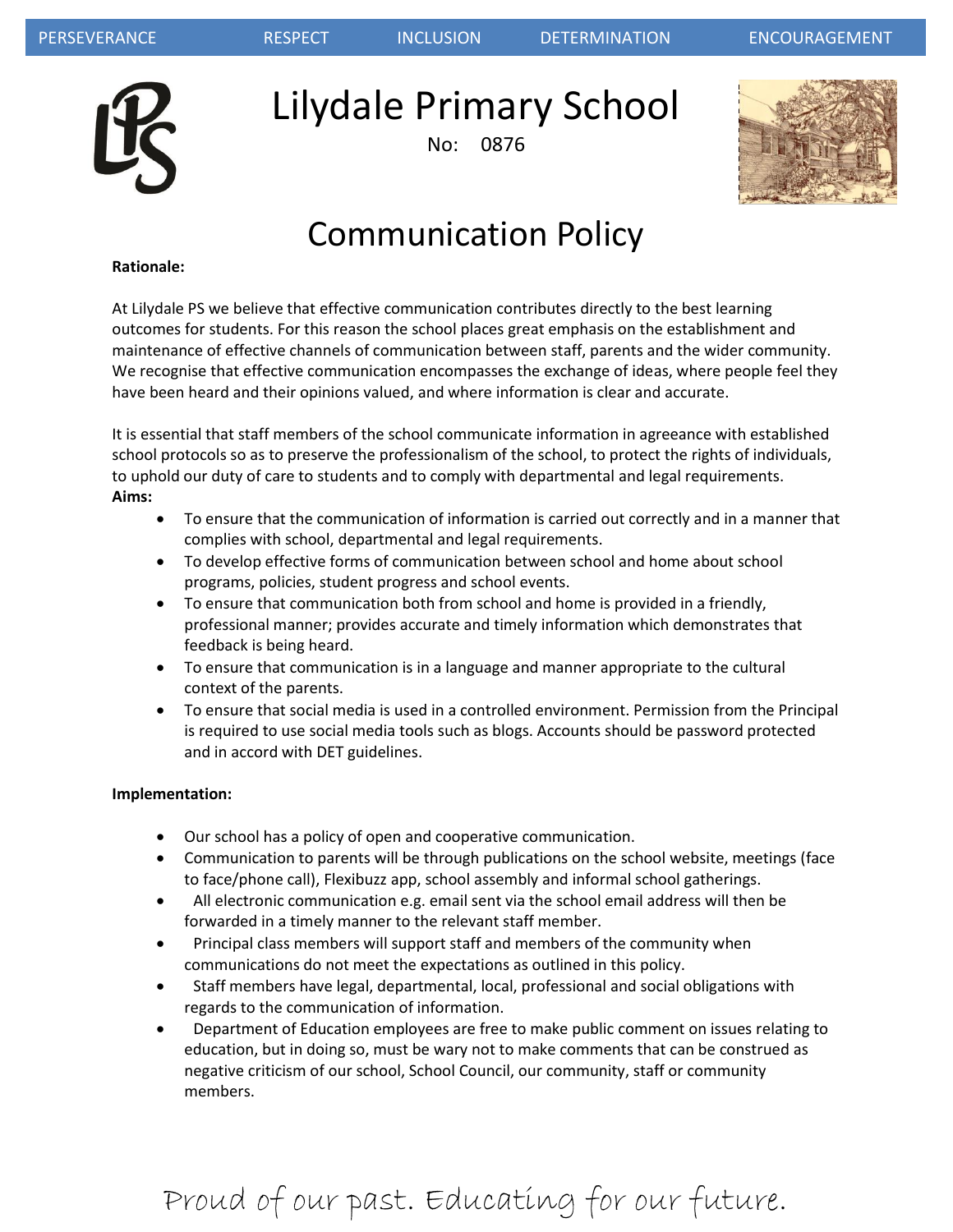

Lilydale Primary School

No: 0876



## Communication Policy

#### **Rationale:**

At Lilydale PS we believe that effective communication contributes directly to the best learning outcomes for students. For this reason the school places great emphasis on the establishment and maintenance of effective channels of communication between staff, parents and the wider community. We recognise that effective communication encompasses the exchange of ideas, where people feel they have been heard and their opinions valued, and where information is clear and accurate.

It is essential that staff members of the school communicate information in agreeance with established school protocols so as to preserve the professionalism of the school, to protect the rights of individuals, to uphold our duty of care to students and to comply with departmental and legal requirements. **Aims:**

- To ensure that the communication of information is carried out correctly and in a manner that complies with school, departmental and legal requirements.
- To develop effective forms of communication between school and home about school programs, policies, student progress and school events.
- To ensure that communication both from school and home is provided in a friendly, professional manner; provides accurate and timely information which demonstrates that feedback is being heard.
- To ensure that communication is in a language and manner appropriate to the cultural context of the parents.
- To ensure that social media is used in a controlled environment. Permission from the Principal is required to use social media tools such as blogs. Accounts should be password protected and in accord with DET guidelines.

#### **Implementation:**

- Our school has a policy of open and cooperative communication.
- Communication to parents will be through publications on the school website, meetings (face to face/phone call), Flexibuzz app, school assembly and informal school gatherings.
- All electronic communication e.g. email sent via the school email address will then be forwarded in a timely manner to the relevant staff member.
- Principal class members will support staff and members of the community when communications do not meet the expectations as outlined in this policy.
- Staff members have legal, departmental, local, professional and social obligations with regards to the communication of information.
- Department of Education employees are free to make public comment on issues relating to education, but in doing so, must be wary not to make comments that can be construed as negative criticism of our school, School Council, our community, staff or community members.

# Proud of our past. Educating for our future.